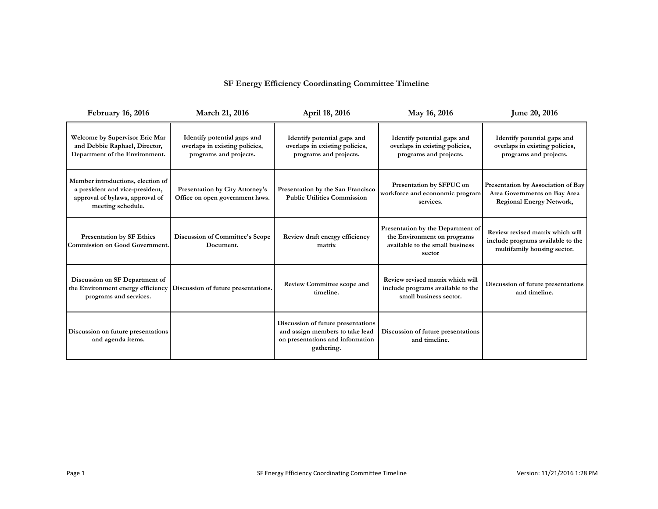## **SF Energy Efficiency Coordinating Committee Timeline**

| <b>February 16, 2016</b>                                                                                                     | March 21, 2016                                                                          | April 18, 2016<br>May 16, 2016                                                                                                                      |                                                                                                               | June 20, 2016                                                                                         |
|------------------------------------------------------------------------------------------------------------------------------|-----------------------------------------------------------------------------------------|-----------------------------------------------------------------------------------------------------------------------------------------------------|---------------------------------------------------------------------------------------------------------------|-------------------------------------------------------------------------------------------------------|
| Welcome by Supervisor Eric Mar<br>and Debbie Raphael, Director,<br>Department of the Environment.                            | Identify potential gaps and<br>overlaps in existing policies,<br>programs and projects. | Identify potential gaps and<br>overlaps in existing policies,<br>programs and projects.                                                             | Identify potential gaps and<br>overlaps in existing policies,<br>programs and projects.                       | Identify potential gaps and<br>overlaps in existing policies,<br>programs and projects.               |
| Member introductions, election of<br>a president and vice-president,<br>approval of bylaws, approval of<br>meeting schedule. | <b>Presentation by City Attorney's</b><br>Office on open government laws.               | Presentation by SFPUC on<br>Presentation by the San Francisco<br>workforce and econonmic program<br><b>Public Utilities Commission</b><br>services. |                                                                                                               | Presentation by Association of Bay<br>Area Governments on Bay Area<br><b>Regional Energy Network,</b> |
| <b>Presentation by SF Ethics</b><br><b>Commission on Good Government.</b>                                                    | <b>Discussion of Committee's Scope</b><br>Document.                                     | Review draft energy efficiency<br>matrix                                                                                                            | Presentation by the Department of<br>the Environment on programs<br>available to the small business<br>sector | Review revised matrix which will<br>include programs available to the<br>multifamily housing sector.  |
| Discussion on SF Department of<br>the Environment energy efficiency<br>programs and services.                                | Discussion of future presentations.                                                     | Review revised matrix which will<br><b>Review Committee scope and</b><br>include programs available to the<br>timeline.<br>small business sector.   |                                                                                                               | Discussion of future presentations<br>and timeline.                                                   |
| Discussion on future presentations<br>and agenda items.                                                                      |                                                                                         | Discussion of future presentations<br>and assign members to take lead<br>on presentations and information<br>gathering.                             | Discussion of future presentations<br>and timeline.                                                           |                                                                                                       |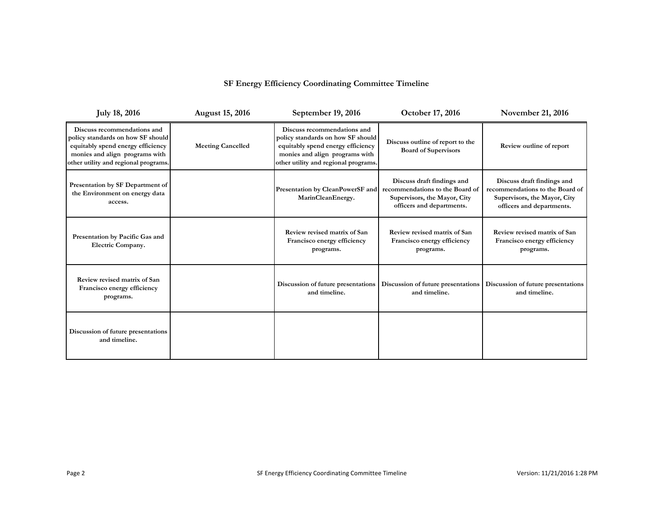## **SF Energy Efficiency Coordinating Committee Timeline**

| <b>July 18, 2016</b>                                                                                                                                                            | <b>August 15, 2016</b>   | October 17, 2016<br>September 19, 2016                                                                                                                                                                                                             |                                                                          | <b>November 21, 2016</b>                                                                                                   |
|---------------------------------------------------------------------------------------------------------------------------------------------------------------------------------|--------------------------|----------------------------------------------------------------------------------------------------------------------------------------------------------------------------------------------------------------------------------------------------|--------------------------------------------------------------------------|----------------------------------------------------------------------------------------------------------------------------|
| Discuss recommendations and<br>policy standards on how SF should<br>equitably spend energy efficiency<br>monies and align programs with<br>other utility and regional programs. | <b>Meeting Cancelled</b> | Discuss recommendations and<br>policy standards on how SF should<br>Discuss outline of report to the<br>equitably spend energy efficiency<br><b>Board of Supervisors</b><br>monies and align programs with<br>other utility and regional programs. |                                                                          | Review outline of report                                                                                                   |
| Presentation by SF Department of<br>the Environment on energy data<br>access.                                                                                                   |                          | Discuss draft findings and<br>recommendations to the Board of<br>Presentation by CleanPowerSF and<br>Supervisors, the Mayor, City<br>MarinCleanEnergy.<br>officers and departments.                                                                |                                                                          | Discuss draft findings and<br>recommendations to the Board of<br>Supervisors, the Mayor, City<br>officers and departments. |
| Presentation by Pacific Gas and<br>Electric Company.                                                                                                                            |                          | Review revised matrix of San<br>Francisco energy efficiency<br>programs.                                                                                                                                                                           | Review revised matrix of San<br>Francisco energy efficiency<br>programs. | Review revised matrix of San<br>Francisco energy efficiency<br>programs.                                                   |
| Review revised matrix of San<br>Francisco energy efficiency<br>programs.                                                                                                        |                          | Discussion of future presentations<br>Discussion of future presentations<br>and timeline.<br>and timeline.                                                                                                                                         |                                                                          | Discussion of future presentations<br>and timeline.                                                                        |
| Discussion of future presentations<br>and timeline.                                                                                                                             |                          |                                                                                                                                                                                                                                                    |                                                                          |                                                                                                                            |